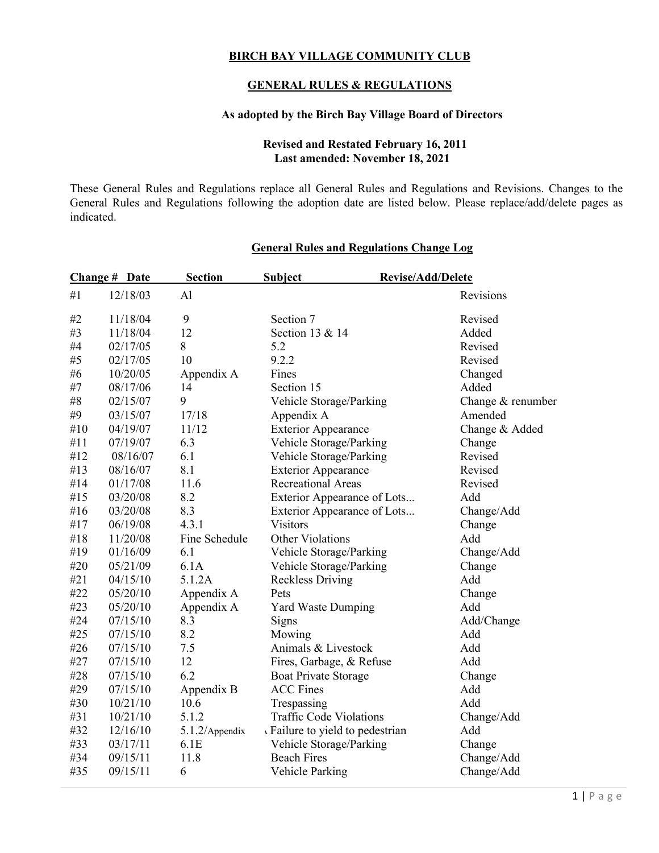## **BIRCH BAY VILLAGE COMMUNITY CLUB**

## **GENERAL RULES & REGULATIONS**

### **As adopted by the Birch Bay Village Board of Directors**

### **Revised and Restated February 16, 2011 Last amended: November 18, 2021**

These General Rules and Regulations replace all General Rules and Regulations and Revisions. Changes to the General Rules and Regulations following the adoption date are listed below. Please replace/add/delete pages as indicated.

|     | <b>Change # Date</b> | <b>Section</b> | <b>Subject</b><br><b>Revise/Add/Delete</b> |                   |
|-----|----------------------|----------------|--------------------------------------------|-------------------|
| #1  | 12/18/03             | A <sub>1</sub> |                                            | Revisions         |
| #2  | 11/18/04             | 9              | Section 7                                  | Revised           |
| #3  | 11/18/04             | 12             | Section 13 & 14                            | Added             |
| #4  | 02/17/05             | 8              | 5.2                                        | Revised           |
| #5  | 02/17/05             | 10             | 9.2.2                                      | Revised           |
| #6  | 10/20/05             | Appendix A     | Fines                                      | Changed           |
| #7  | 08/17/06             | 14             | Section 15                                 | Added             |
| #8  | 02/15/07             | 9              | Vehicle Storage/Parking                    | Change & renumber |
| #9  | 03/15/07             | 17/18          | Appendix A                                 | Amended           |
| #10 | 04/19/07             | 11/12          | <b>Exterior Appearance</b>                 | Change & Added    |
| #11 | 07/19/07             | 6.3            | Vehicle Storage/Parking                    | Change            |
| #12 | 08/16/07             | 6.1            | Vehicle Storage/Parking                    | Revised           |
| #13 | 08/16/07             | 8.1            | <b>Exterior Appearance</b>                 | Revised           |
| #14 | 01/17/08             | 11.6           | <b>Recreational Areas</b>                  | Revised           |
| #15 | 03/20/08             | 8.2            | Exterior Appearance of Lots                | Add               |
| #16 | 03/20/08             | 8.3            | Exterior Appearance of Lots                | Change/Add        |
| #17 | 06/19/08             | 4.3.1          | <b>Visitors</b>                            | Change            |
| #18 | 11/20/08             | Fine Schedule  | Other Violations                           | Add               |
| #19 | 01/16/09             | 6.1            | Vehicle Storage/Parking                    | Change/Add        |
| #20 | 05/21/09             | 6.1A           | Vehicle Storage/Parking                    | Change            |
| #21 | 04/15/10             | 5.1.2A         | <b>Reckless Driving</b>                    | Add               |
| #22 | 05/20/10             | Appendix A     | Pets                                       | Change            |
| #23 | 05/20/10             | Appendix A     | <b>Yard Waste Dumping</b>                  | Add               |
| #24 | 07/15/10             | 8.3            | Signs                                      | Add/Change        |
| #25 | 07/15/10             | 8.2            | Mowing                                     | Add               |
| #26 | 07/15/10             | 7.5            | Animals & Livestock                        | Add               |
| #27 | 07/15/10             | 12             | Fires, Garbage, & Refuse                   | Add               |
| #28 | 07/15/10             | 6.2            | <b>Boat Private Storage</b>                | Change            |
| #29 | 07/15/10             | Appendix B     | <b>ACC Fines</b>                           | Add               |
| #30 | 10/21/10             | 10.6           | Trespassing                                | Add               |
| #31 | 10/21/10             | 5.1.2          | <b>Traffic Code Violations</b>             | Change/Add        |
| #32 | 12/16/10             | 5.1.2/Appendix | Failure to yield to pedestrian             | Add               |
| #33 | 03/17/11             | 6.1E           | Vehicle Storage/Parking                    | Change            |
| #34 | 09/15/11             | 11.8           | <b>Beach Fires</b>                         | Change/Add        |
| #35 | 09/15/11             | 6              | Vehicle Parking                            | Change/Add        |

### **General Rules and Regulations Change Log**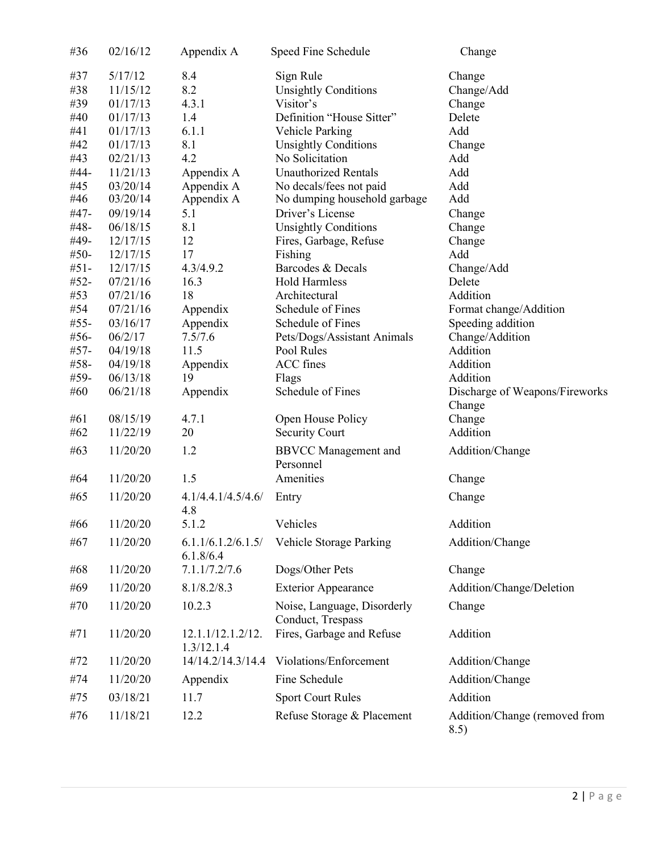| #36        | 02/16/12             | Appendix A                      | Speed Fine Schedule                              | Change                                      |
|------------|----------------------|---------------------------------|--------------------------------------------------|---------------------------------------------|
| #37        | 5/17/12              | 8.4                             | Sign Rule                                        | Change                                      |
| #38        | 11/15/12             | 8.2                             | <b>Unsightly Conditions</b>                      | Change/Add                                  |
| #39        | 01/17/13             | 4.3.1                           | Visitor's                                        | Change                                      |
| #40        | 01/17/13             | 1.4                             | Definition "House Sitter"                        | Delete                                      |
| #41        | 01/17/13             | 6.1.1                           | Vehicle Parking                                  | Add                                         |
| #42        | 01/17/13             | 8.1                             | <b>Unsightly Conditions</b>                      | Change                                      |
| #43        | 02/21/13             | 4.2                             | No Solicitation                                  | Add                                         |
| #44-       | 11/21/13             | Appendix A                      | <b>Unauthorized Rentals</b>                      | Add                                         |
| #45        | 03/20/14             | Appendix A                      | No decals/fees not paid                          | Add                                         |
| #46        | 03/20/14             | Appendix A                      | No dumping household garbage                     | Add                                         |
| #47-       | 09/19/14             | 5.1                             | Driver's License                                 | Change                                      |
| #48-       | 06/18/15             | 8.1                             | <b>Unsightly Conditions</b>                      | Change                                      |
| #49-       | 12/17/15             | 12                              | Fires, Garbage, Refuse                           | Change                                      |
| $#50-$     | 12/17/15             | 17                              | Fishing                                          | Add                                         |
| $#51-$     | 12/17/15             | 4.3/4.9.2                       | Barcodes & Decals                                | Change/Add                                  |
| $#52-$     | 07/21/16             | 16.3                            | <b>Hold Harmless</b>                             | Delete<br>Addition                          |
| #53<br>#54 | 07/21/16<br>07/21/16 | 18                              | Architectural<br>Schedule of Fines               |                                             |
| #55-       | 03/16/17             | Appendix<br>Appendix            | Schedule of Fines                                | Format change/Addition<br>Speeding addition |
| $#56-$     | 06/2/17              | 7.5/7.6                         | Pets/Dogs/Assistant Animals                      | Change/Addition                             |
| $#57-$     | 04/19/18             | 11.5                            | Pool Rules                                       | Addition                                    |
| #58-       | 04/19/18             | Appendix                        | ACC fines                                        | Addition                                    |
| #59-       | 06/13/18             | 19                              | Flags                                            | Addition                                    |
| #60        | 06/21/18             | Appendix                        | Schedule of Fines                                | Discharge of Weapons/Fireworks              |
|            |                      |                                 |                                                  | Change                                      |
| #61        | 08/15/19             | 4.7.1                           | Open House Policy                                | Change                                      |
| #62        | 11/22/19             | 20                              | <b>Security Court</b>                            | Addition                                    |
| #63        | 11/20/20             | 1.2                             | <b>BBVCC</b> Management and                      | Addition/Change                             |
|            |                      |                                 | Personnel                                        |                                             |
| #64        | 11/20/20             | 1.5                             | Amenities                                        | Change                                      |
|            |                      |                                 |                                                  |                                             |
| #65        | 11/20/20             | 4.1/4.4.1/4.5/4.6/<br>4.8       | Entry                                            | Change                                      |
| #66        | 11/20/20             | 5.1.2                           | Vehicles                                         | Addition                                    |
| #67        | 11/20/20             | 6.1.1/6.1.2/6.1.5/              | Vehicle Storage Parking                          | Addition/Change                             |
|            |                      | 6.1.8/6.4                       |                                                  |                                             |
| #68        | 11/20/20             | 7.1.1/7.2/7.6                   | Dogs/Other Pets                                  | Change                                      |
| #69        | 11/20/20             | 8.1/8.2/8.3                     | <b>Exterior Appearance</b>                       | Addition/Change/Deletion                    |
| #70        | 11/20/20             | 10.2.3                          | Noise, Language, Disorderly<br>Conduct, Trespass | Change                                      |
| #71        | 11/20/20             | 12.1.1/12.1.2/12.<br>1.3/12.1.4 | Fires, Garbage and Refuse                        | Addition                                    |
| #72        | 11/20/20             | 14/14.2/14.3/14.4               | Violations/Enforcement                           | Addition/Change                             |
| #74        | 11/20/20             | Appendix                        | Fine Schedule                                    | Addition/Change                             |
| #75        | 03/18/21             | 11.7                            | <b>Sport Court Rules</b>                         | Addition                                    |
| #76        | 11/18/21             | 12.2                            | Refuse Storage & Placement                       | Addition/Change (removed from<br>8.5)       |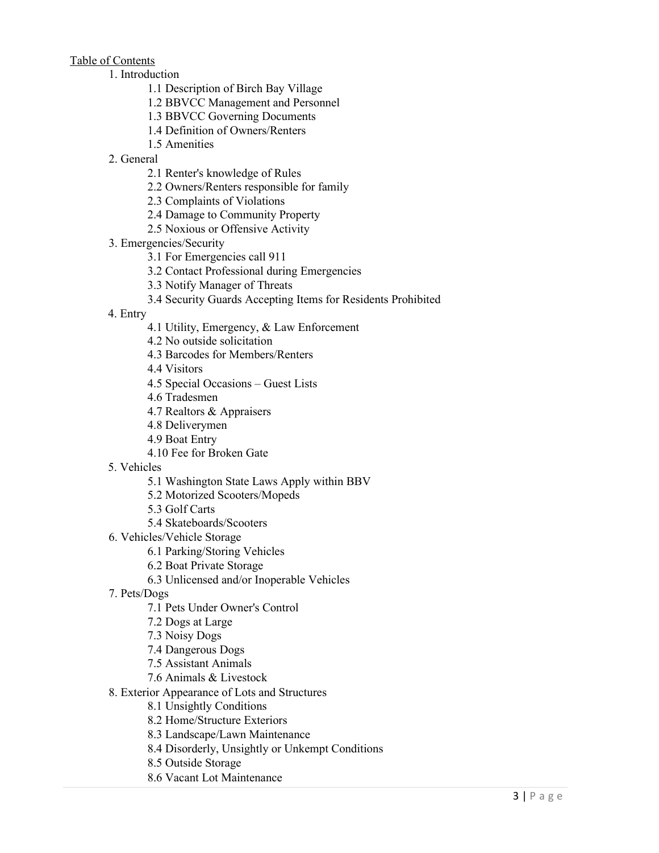Table of Contents

- 1. Introduction
	- 1.1 Description of Birch Bay Village
	- 1.2 BBVCC Management and Personnel
	- 1.3 BBVCC Governing Documents
	- 1.4 Definition of Owners/Renters
	- 1.5 Amenities
- 2. General
	- 2.1 Renter's knowledge of Rules
	- 2.2 Owners/Renters responsible for family
	- 2.3 Complaints of Violations
	- 2.4 Damage to Community Property
	- 2.5 Noxious or Offensive Activity
- 3. Emergencies/Security
	- 3.1 For Emergencies call 911
	- 3.2 Contact Professional during Emergencies
	- 3.3 Notify Manager of Threats
	- 3.4 Security Guards Accepting Items for Residents Prohibited
- 4. Entry
	- 4.1 Utility, Emergency, & Law Enforcement
	- 4.2 No outside solicitation
	- 4.3 Barcodes for Members/Renters
	- 4.4 Visitors
	- 4.5 Special Occasions Guest Lists
	- 4.6 Tradesmen
	- 4.7 Realtors & Appraisers
	- 4.8 Deliverymen
	- 4.9 Boat Entry
	- 4.10 Fee for Broken Gate
- 5. Vehicles
	- 5.1 Washington State Laws Apply within BBV
	- 5.2 Motorized Scooters/Mopeds
	- 5.3 Golf Carts
	- 5.4 Skateboards/Scooters
- 6. Vehicles/Vehicle Storage
	- 6.1 Parking/Storing Vehicles
	- 6.2 Boat Private Storage
	- 6.3 Unlicensed and/or Inoperable Vehicles
- 7. Pets/Dogs
	- 7.1 Pets Under Owner's Control
	- 7.2 Dogs at Large
	- 7.3 Noisy Dogs
	- 7.4 Dangerous Dogs
	- 7.5 Assistant Animals
	- 7.6 Animals & Livestock
- 8. Exterior Appearance of Lots and Structures
	- 8.1 Unsightly Conditions
	- 8.2 Home/Structure Exteriors
	- 8.3 Landscape/Lawn Maintenance
	- 8.4 Disorderly, Unsightly or Unkempt Conditions
	- 8.5 Outside Storage
	- 8.6 Vacant Lot Maintenance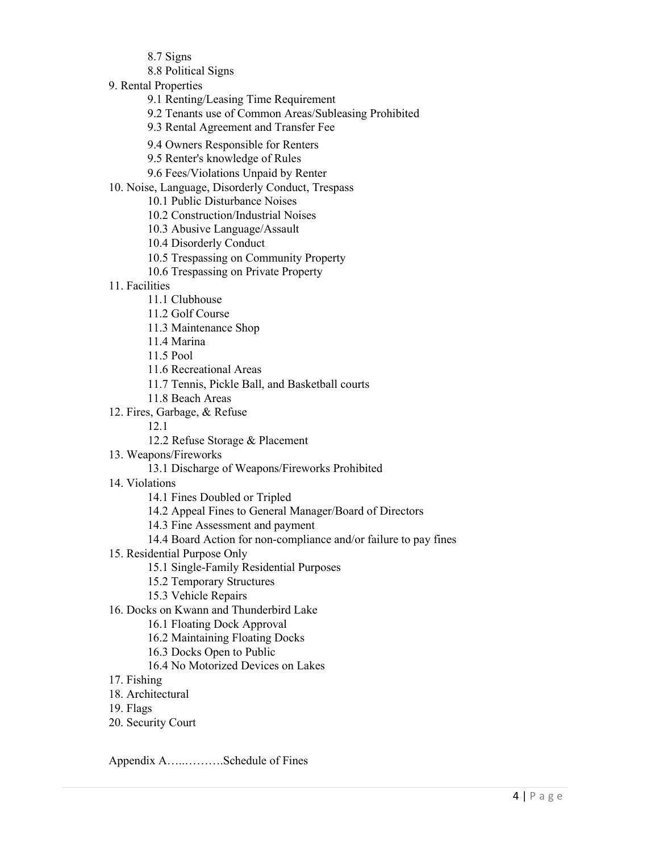- 8.7 Signs
- 8.8 Political Signs
- 9. Rental Properties
	- 9.1 Renting/Leasing Time Requirement
	- 9.2 Tenants use of Common Areas/Subleasing Prohibited
	- 9.3 Rental Agreement and Transfer Fee
	- 9.4 Owners Responsible for Renters
	- 9.5 Renter's knowledge of Rules
	- 9.6 Fees/Violations Unpaid by Renter
- 10. Noise, Language, Disorderly Conduct, Trespass
	- 10.1 Public Disturbance Noises
	- 10.2 Construction/Industrial Noises
	- 10.3 Abusive Language/Assault
	- 10.4 Disorderly Conduct
	- 10.5 Trespassing on Community Property
	- 10.6 Trespassing on Private Property
- 11. Facilities
	- 11.1 Clubhouse
	- 11.2 Golf Course
	- 11.3 Maintenance Shop
	- 11.4 Marina
	- 11.5 Pool
	- 11.6 Recreational Areas
	- 11.7 Tennis, Pickle Ball, and Basketball courts
	- 11.8 Beach Areas
- 12. Fires, Garbage, & Refuse
	- 12.1
	- 12.2 Refuse Storage & Placement
- 13. Weapons/Fireworks
	- 13.1 Discharge of Weapons/Fireworks Prohibited
- 14. Violations
	- 14.1 Fines Doubled or Tripled
	- 14.2 Appeal Fines to General Manager/Board of Directors
	- 14.3 Fine Assessment and payment
	- 14.4 Board Action for non-compliance and/or failure to pay fines
- 15. Residential Purpose Only
	- 15.1 Single-Family Residential Purposes
	- 15.2 Temporary Structures
	- 15.3 Vehicle Repairs
- 16. Docks on Kwann and Thunderbird Lake
	- 16.1 Floating Dock Approval
	- 16.2 Maintaining Floating Docks
	- 16.3 Docks Open to Public
	- 16.4 No Motorized Devices on Lakes
- 17. Fishing
- 18. Architectural
- 19. Flags
- 20. Security Court

Appendix A…..……….Schedule of Fines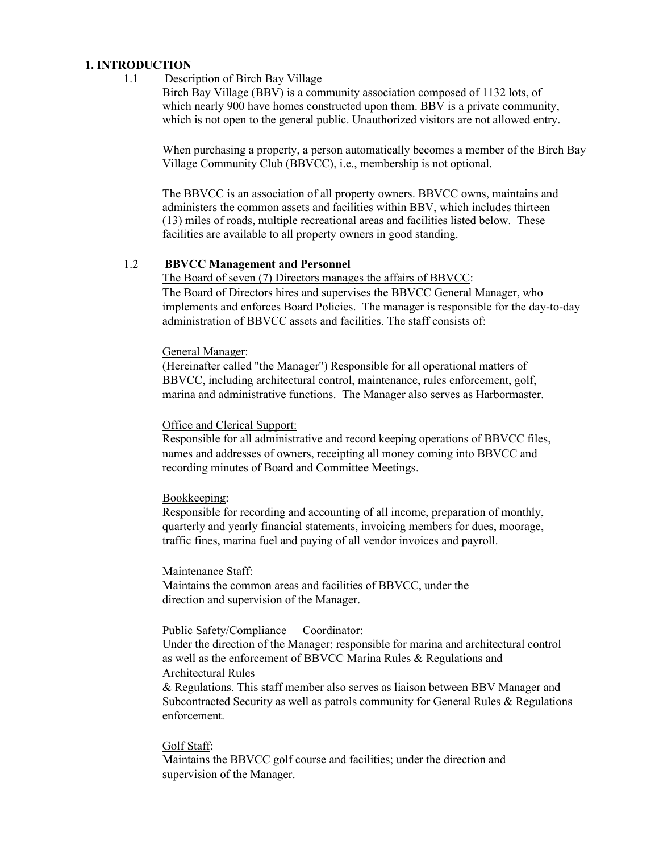#### **1. INTRODUCTION**

1.1 Description of Birch Bay Village

Birch Bay Village (BBV) is a community association composed of 1132 lots, of which nearly 900 have homes constructed upon them. BBV is a private community, which is not open to the general public. Unauthorized visitors are not allowed entry.

When purchasing a property, a person automatically becomes a member of the Birch Bay Village Community Club (BBVCC), i.e., membership is not optional.

The BBVCC is an association of all property owners. BBVCC owns, maintains and administers the common assets and facilities within BBV, which includes thirteen (13) miles of roads, multiple recreational areas and facilities listed below. These facilities are available to all property owners in good standing.

#### 1.2 **BBVCC Management and Personnel**

The Board of seven (7) Directors manages the affairs of BBVCC: The Board of Directors hires and supervises the BBVCC General Manager, who implements and enforces Board Policies. The manager is responsible for the day-to-day administration of BBVCC assets and facilities. The staff consists of:

#### General Manager:

(Hereinafter called "the Manager") Responsible for all operational matters of BBVCC, including architectural control, maintenance, rules enforcement, golf, marina and administrative functions. The Manager also serves as Harbormaster.

#### Office and Clerical Support:

Responsible for all administrative and record keeping operations of BBVCC files, names and addresses of owners, receipting all money coming into BBVCC and recording minutes of Board and Committee Meetings.

#### Bookkeeping:

Responsible for recording and accounting of all income, preparation of monthly, quarterly and yearly financial statements, invoicing members for dues, moorage, traffic fines, marina fuel and paying of all vendor invoices and payroll.

#### Maintenance Staff:

Maintains the common areas and facilities of BBVCC, under the direction and supervision of the Manager.

### Public Safety/Compliance Coordinator:

Under the direction of the Manager; responsible for marina and architectural control as well as the enforcement of BBVCC Marina Rules & Regulations and Architectural Rules

& Regulations. This staff member also serves as liaison between BBV Manager and Subcontracted Security as well as patrols community for General Rules & Regulations enforcement.

#### Golf Staff:

Maintains the BBVCC golf course and facilities; under the direction and supervision of the Manager.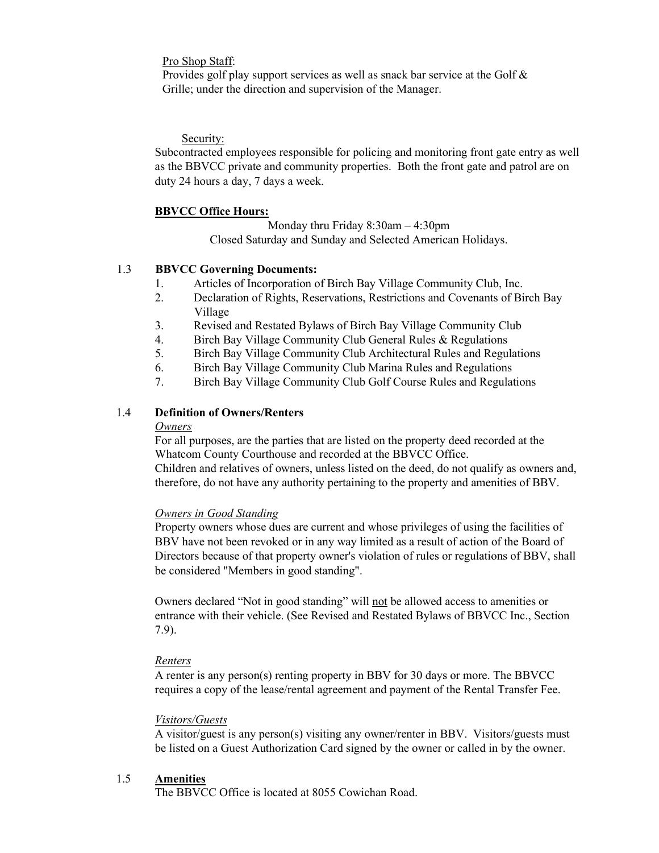Pro Shop Staff:

Provides golf play support services as well as snack bar service at the Golf & Grille; under the direction and supervision of the Manager.

Security:

Subcontracted employees responsible for policing and monitoring front gate entry as well as the BBVCC private and community properties. Both the front gate and patrol are on duty 24 hours a day, 7 days a week.

#### **BBVCC Office Hours:**

Monday thru Friday 8:30am – 4:30pm Closed Saturday and Sunday and Selected American Holidays.

### 1.3 **BBVCC Governing Documents:**

- 1. Articles of Incorporation of Birch Bay Village Community Club, Inc.
- 2. Declaration of Rights, Reservations, Restrictions and Covenants of Birch Bay Village
- 3. Revised and Restated Bylaws of Birch Bay Village Community Club
- 4. Birch Bay Village Community Club General Rules & Regulations
- 5. Birch Bay Village Community Club Architectural Rules and Regulations
- 6. Birch Bay Village Community Club Marina Rules and Regulations
- 7. Birch Bay Village Community Club Golf Course Rules and Regulations

#### 1.4 **Definition of Owners/Renters**

#### *Owners*

For all purposes, are the parties that are listed on the property deed recorded at the Whatcom County Courthouse and recorded at the BBVCC Office.

Children and relatives of owners, unless listed on the deed, do not qualify as owners and, therefore, do not have any authority pertaining to the property and amenities of BBV.

*Owners in Good Standing*

Property owners whose dues are current and whose privileges of using the facilities of BBV have not been revoked or in any way limited as a result of action of the Board of Directors because of that property owner's violation of rules or regulations of BBV, shall be considered "Members in good standing".

Owners declared "Not in good standing" will not be allowed access to amenities or entrance with their vehicle. (See Revised and Restated Bylaws of BBVCC Inc., Section 7.9).

### *Renters*

A renter is any person(s) renting property in BBV for 30 days or more. The BBVCC requires a copy of the lease/rental agreement and payment of the Rental Transfer Fee.

#### *Visitors/Guests*

A visitor/guest is any person(s) visiting any owner/renter in BBV. Visitors/guests must be listed on a Guest Authorization Card signed by the owner or called in by the owner.

### 1.5 **Amenities**

The BBVCC Office is located at 8055 Cowichan Road.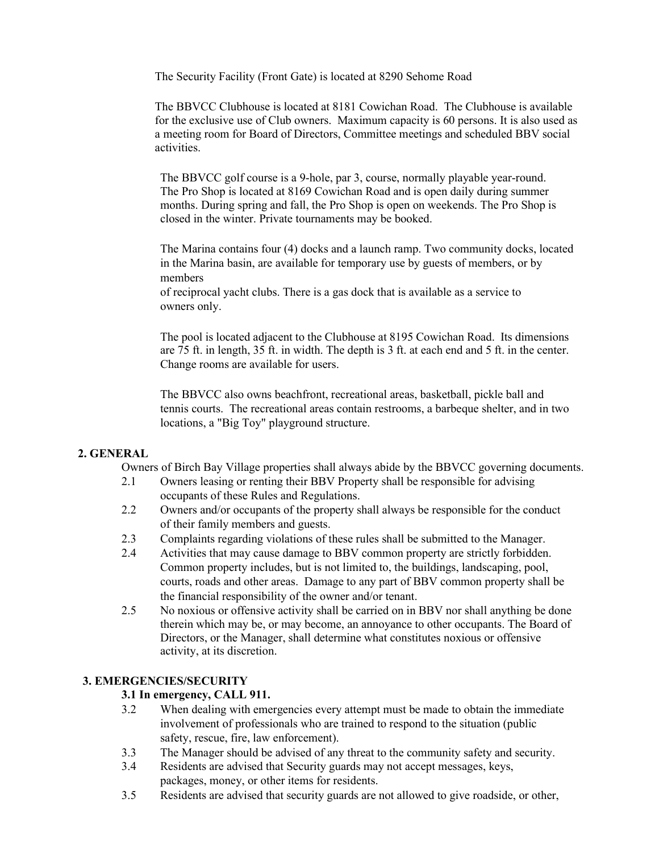The Security Facility (Front Gate) is located at 8290 Sehome Road

The BBVCC Clubhouse is located at 8181 Cowichan Road. The Clubhouse is available for the exclusive use of Club owners. Maximum capacity is 60 persons. It is also used as a meeting room for Board of Directors, Committee meetings and scheduled BBV social activities.

The BBVCC golf course is a 9-hole, par 3, course, normally playable year-round. The Pro Shop is located at 8169 Cowichan Road and is open daily during summer months. During spring and fall, the Pro Shop is open on weekends. The Pro Shop is closed in the winter. Private tournaments may be booked.

The Marina contains four (4) docks and a launch ramp. Two community docks, located in the Marina basin, are available for temporary use by guests of members, or by members

of reciprocal yacht clubs. There is a gas dock that is available as a service to owners only.

The pool is located adjacent to the Clubhouse at 8195 Cowichan Road. Its dimensions are 75 ft. in length, 35 ft. in width. The depth is 3 ft. at each end and 5 ft. in the center. Change rooms are available for users.

The BBVCC also owns beachfront, recreational areas, basketball, pickle ball and tennis courts. The recreational areas contain restrooms, a barbeque shelter, and in two locations, a "Big Toy" playground structure.

## **2. GENERAL**

Owners of Birch Bay Village properties shall always abide by the BBVCC governing documents.

- 2.1 Owners leasing or renting their BBV Property shall be responsible for advising occupants of these Rules and Regulations.
- 2.2 Owners and/or occupants of the property shall always be responsible for the conduct of their family members and guests.
- 2.3 Complaints regarding violations of these rules shall be submitted to the Manager.
- 2.4 Activities that may cause damage to BBV common property are strictly forbidden. Common property includes, but is not limited to, the buildings, landscaping, pool, courts, roads and other areas. Damage to any part of BBV common property shall be the financial responsibility of the owner and/or tenant.
- 2.5 No noxious or offensive activity shall be carried on in BBV nor shall anything be done therein which may be, or may become, an annoyance to other occupants. The Board of Directors, or the Manager, shall determine what constitutes noxious or offensive activity, at its discretion.

## **3. EMERGENCIES/SECURITY**

### **3.1 In emergency, CALL 911.**

- 3.2 When dealing with emergencies every attempt must be made to obtain the immediate involvement of professionals who are trained to respond to the situation (public safety, rescue, fire, law enforcement).
- 3.3 The Manager should be advised of any threat to the community safety and security.
- 3.4 Residents are advised that Security guards may not accept messages, keys, packages, money, or other items for residents.
- 3.5 Residents are advised that security guards are not allowed to give roadside, or other,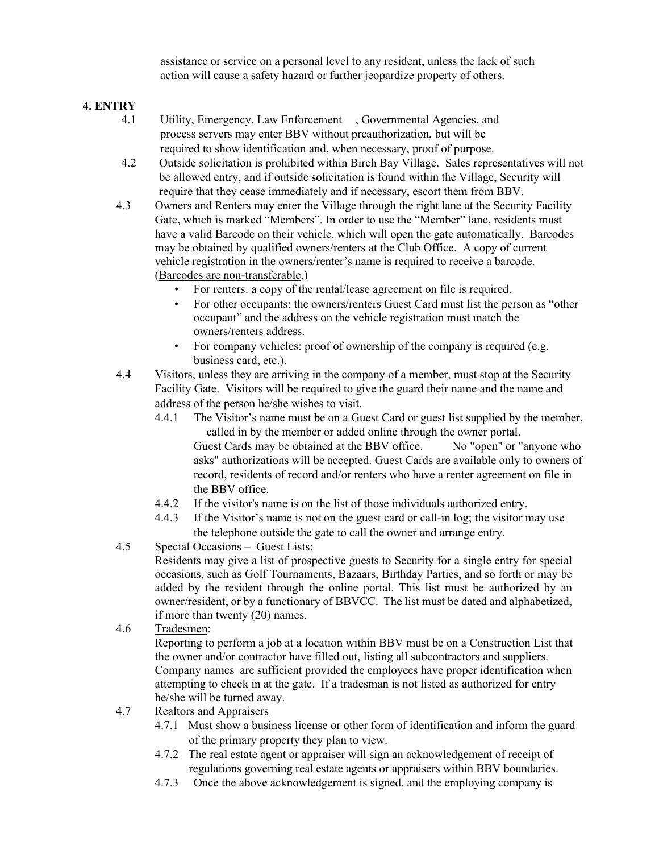assistance or service on a personal level to any resident, unless the lack of such action will cause a safety hazard or further jeopardize property of others.

# **4. ENTRY**

- 4.1 Utility, Emergency, Law Enforcement , Governmental Agencies, and process servers may enter BBV without preauthorization, but will be required to show identification and, when necessary, proof of purpose.
- 4.2 Outside solicitation is prohibited within Birch Bay Village. Sales representatives will not be allowed entry, and if outside solicitation is found within the Village, Security will require that they cease immediately and if necessary, escort them from BBV.
- 4.3 Owners and Renters may enter the Village through the right lane at the Security Facility Gate, which is marked "Members". In order to use the "Member" lane, residents must have a valid Barcode on their vehicle, which will open the gate automatically. Barcodes may be obtained by qualified owners/renters at the Club Office. A copy of current vehicle registration in the owners/renter's name is required to receive a barcode. (Barcodes are non-transferable.)
	- For renters: a copy of the rental/lease agreement on file is required.
	- For other occupants: the owners/renters Guest Card must list the person as "other occupant" and the address on the vehicle registration must match the owners/renters address.
	- For company vehicles: proof of ownership of the company is required (e.g. business card, etc.).
- 4.4 Visitors, unless they are arriving in the company of a member, must stop at the Security Facility Gate. Visitors will be required to give the guard their name and the name and address of the person he/she wishes to visit.
	- 4.4.1 The Visitor's name must be on a Guest Card or guest list supplied by the member, called in by the member or added online through the owner portal. Guest Cards may be obtained at the BBV office. No "open" or "anyone who asks" authorizations will be accepted. Guest Cards are available only to owners of record, residents of record and/or renters who have a renter agreement on file in the BBV office.
	- 4.4.2 If the visitor's name is on the list of those individuals authorized entry.
	- 4.4.3 If the Visitor's name is not on the guest card or call-in log; the visitor may use the telephone outside the gate to call the owner and arrange entry.
- 4.5 Special Occasions Guest Lists:

Residents may give a list of prospective guests to Security for a single entry for special occasions, such as Golf Tournaments, Bazaars, Birthday Parties, and so forth or may be added by the resident through the online portal. This list must be authorized by an owner/resident, or by a functionary of BBVCC. The list must be dated and alphabetized, if more than twenty (20) names.

4.6 Tradesmen:

Reporting to perform a job at a location within BBV must be on a Construction List that the owner and/or contractor have filled out, listing all subcontractors and suppliers. Company names are sufficient provided the employees have proper identification when attempting to check in at the gate. If a tradesman is not listed as authorized for entry he/she will be turned away.

- 4.7 Realtors and Appraisers
	- 4.7.1 Must show a business license or other form of identification and inform the guard of the primary property they plan to view.
	- 4.7.2 The real estate agent or appraiser will sign an acknowledgement of receipt of regulations governing real estate agents or appraisers within BBV boundaries.
	- 4.7.3 Once the above acknowledgement is signed, and the employing company is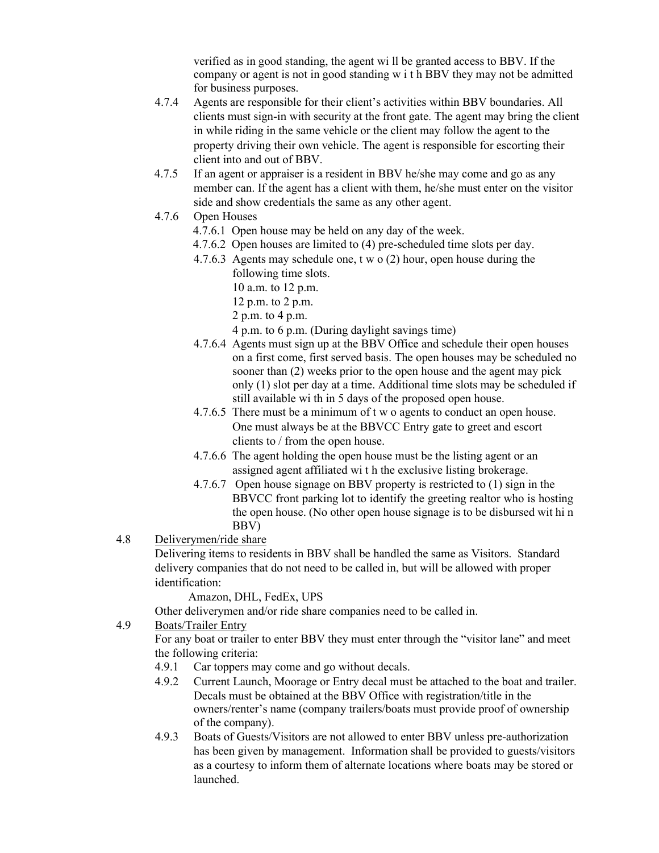verified as in good standing, the agent wi ll be granted access to BBV. If the company or agent is not in good standing w i t h BBV they may not be admitted for business purposes.

- 4.7.4 Agents are responsible for their client's activities within BBV boundaries. All clients must sign-in with security at the front gate. The agent may bring the client in while riding in the same vehicle or the client may follow the agent to the property driving their own vehicle. The agent is responsible for escorting their client into and out of BBV.
- 4.7.5 If an agent or appraiser is a resident in BBV he/she may come and go as any member can. If the agent has a client with them, he/she must enter on the visitor side and show credentials the same as any other agent.
- 4.7.6 Open Houses
	- 4.7.6.1 Open house may be held on any day of the week.
	- 4.7.6.2 Open houses are limited to (4) pre-scheduled time slots per day.
	- 4.7.6.3 Agents may schedule one, t w o (2) hour, open house during the following time slots.
		- 10 a.m. to 12 p.m.
		- 12 p.m. to 2 p.m.
		- 2 p.m. to 4 p.m.
		- 4 p.m. to 6 p.m. (During daylight savings time)
	- 4.7.6.4 Agents must sign up at the BBV Office and schedule their open houses on a first come, first served basis. The open houses may be scheduled no sooner than (2) weeks prior to the open house and the agent may pick only (1) slot per day at a time. Additional time slots may be scheduled if still available wi th in 5 days of the proposed open house.
	- 4.7.6.5 There must be a minimum of t w o agents to conduct an open house. One must always be at the BBVCC Entry gate to greet and escort clients to / from the open house.
	- 4.7.6.6 The agent holding the open house must be the listing agent or an assigned agent affiliated wi t h the exclusive listing brokerage.
	- 4.7.6.7 Open house signage on BBV property is restricted to (1) sign in the BBVCC front parking lot to identify the greeting realtor who is hosting the open house. (No other open house signage is to be disbursed wit hi n BBV)
- 4.8 Deliverymen/ride share

Delivering items to residents in BBV shall be handled the same as Visitors. Standard delivery companies that do not need to be called in, but will be allowed with proper identification:

Amazon, DHL, FedEx, UPS

Other deliverymen and/or ride share companies need to be called in.

4.9 Boats/Trailer Entry

For any boat or trailer to enter BBV they must enter through the "visitor lane" and meet the following criteria:

- 4.9.1 Car toppers may come and go without decals.
- 4.9.2 Current Launch, Moorage or Entry decal must be attached to the boat and trailer. Decals must be obtained at the BBV Office with registration/title in the owners/renter's name (company trailers/boats must provide proof of ownership of the company).
- 4.9.3 Boats of Guests/Visitors are not allowed to enter BBV unless pre-authorization has been given by management. Information shall be provided to guests/visitors as a courtesy to inform them of alternate locations where boats may be stored or launched.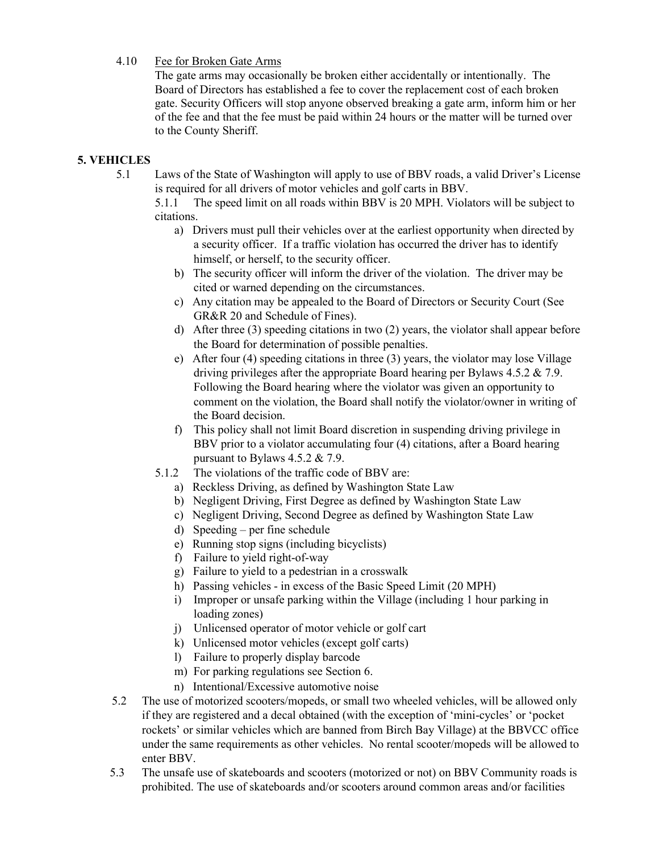### 4.10 Fee for Broken Gate Arms

The gate arms may occasionally be broken either accidentally or intentionally. The Board of Directors has established a fee to cover the replacement cost of each broken gate. Security Officers will stop anyone observed breaking a gate arm, inform him or her of the fee and that the fee must be paid within 24 hours or the matter will be turned over to the County Sheriff.

## **5. VEHICLES**

5.1 Laws of the State of Washington will apply to use of BBV roads, a valid Driver's License is required for all drivers of motor vehicles and golf carts in BBV.

5.1.1 The speed limit on all roads within BBV is 20 MPH. Violators will be subject to citations.

- a) Drivers must pull their vehicles over at the earliest opportunity when directed by a security officer. If a traffic violation has occurred the driver has to identify himself, or herself, to the security officer.
- b) The security officer will inform the driver of the violation. The driver may be cited or warned depending on the circumstances.
- c) Any citation may be appealed to the Board of Directors or Security Court (See GR&R 20 and Schedule of Fines).
- d) After three (3) speeding citations in two (2) years, the violator shall appear before the Board for determination of possible penalties.
- e) After four (4) speeding citations in three (3) years, the violator may lose Village driving privileges after the appropriate Board hearing per Bylaws 4.5.2 & 7.9. Following the Board hearing where the violator was given an opportunity to comment on the violation, the Board shall notify the violator/owner in writing of the Board decision.
- f) This policy shall not limit Board discretion in suspending driving privilege in BBV prior to a violator accumulating four (4) citations, after a Board hearing pursuant to Bylaws 4.5.2 & 7.9.
- 5.1.2 The violations of the traffic code of BBV are:
	- a) Reckless Driving, as defined by Washington State Law
	- b) Negligent Driving, First Degree as defined by Washington State Law
	- c) Negligent Driving, Second Degree as defined by Washington State Law
	- d) Speeding per fine schedule
	- e) Running stop signs (including bicyclists)
	- f) Failure to yield right-of-way
	- g) Failure to yield to a pedestrian in a crosswalk
	- h) Passing vehicles in excess of the Basic Speed Limit (20 MPH)
	- i) Improper or unsafe parking within the Village (including 1 hour parking in loading zones)
	- j) Unlicensed operator of motor vehicle or golf cart
	- k) Unlicensed motor vehicles (except golf carts)
	- l) Failure to properly display barcode
	- m) For parking regulations see Section 6.
	- n) Intentional/Excessive automotive noise
- 5.2 The use of motorized scooters/mopeds, or small two wheeled vehicles, will be allowed only if they are registered and a decal obtained (with the exception of 'mini-cycles' or 'pocket rockets' or similar vehicles which are banned from Birch Bay Village) at the BBVCC office under the same requirements as other vehicles. No rental scooter/mopeds will be allowed to enter BBV.
- 5.3 The unsafe use of skateboards and scooters (motorized or not) on BBV Community roads is prohibited. The use of skateboards and/or scooters around common areas and/or facilities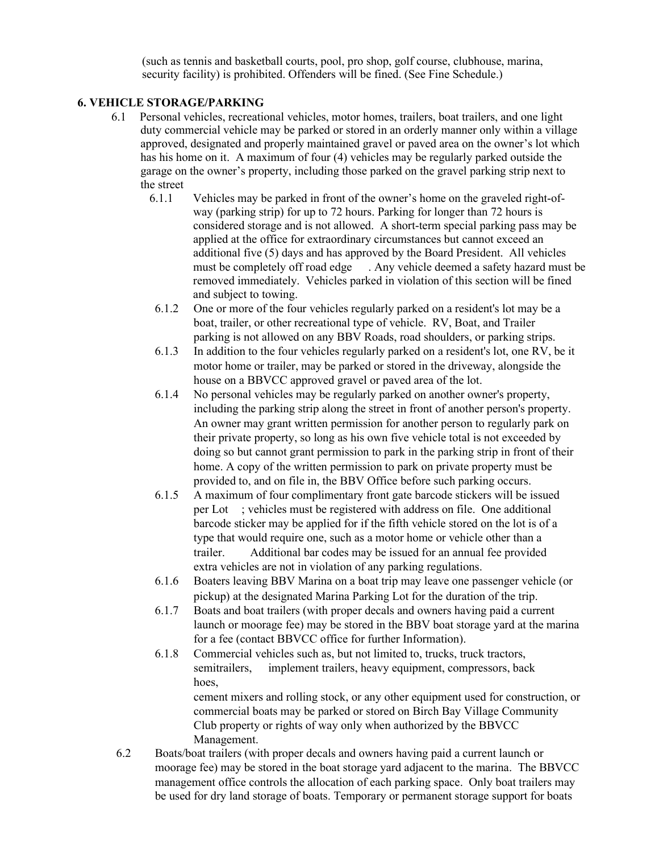(such as tennis and basketball courts, pool, pro shop, golf course, clubhouse, marina, security facility) is prohibited. Offenders will be fined. (See Fine Schedule.)

### **6. VEHICLE STORAGE/PARKING**

- 6.1 Personal vehicles, recreational vehicles, motor homes, trailers, boat trailers, and one light duty commercial vehicle may be parked or stored in an orderly manner only within a village approved, designated and properly maintained gravel or paved area on the owner's lot which has his home on it. A maximum of four (4) vehicles may be regularly parked outside the garage on the owner's property, including those parked on the gravel parking strip next to the street
	- 6.1.1 Vehicles may be parked in front of the owner's home on the graveled right-ofway (parking strip) for up to 72 hours. Parking for longer than 72 hours is considered storage and is not allowed. A short-term special parking pass may be applied at the office for extraordinary circumstances but cannot exceed an additional five (5) days and has approved by the Board President. All vehicles must be completely off road edge . Any vehicle deemed a safety hazard must be removed immediately. Vehicles parked in violation of this section will be fined and subject to towing.
	- 6.1.2 One or more of the four vehicles regularly parked on a resident's lot may be a boat, trailer, or other recreational type of vehicle. RV, Boat, and Trailer parking is not allowed on any BBV Roads, road shoulders, or parking strips.
	- 6.1.3 In addition to the four vehicles regularly parked on a resident's lot, one RV, be it motor home or trailer, may be parked or stored in the driveway, alongside the house on a BBVCC approved gravel or paved area of the lot.
	- 6.1.4 No personal vehicles may be regularly parked on another owner's property, including the parking strip along the street in front of another person's property. An owner may grant written permission for another person to regularly park on their private property, so long as his own five vehicle total is not exceeded by doing so but cannot grant permission to park in the parking strip in front of their home. A copy of the written permission to park on private property must be provided to, and on file in, the BBV Office before such parking occurs.
	- 6.1.5 A maximum of four complimentary front gate barcode stickers will be issued per Lot ; vehicles must be registered with address on file. One additional barcode sticker may be applied for if the fifth vehicle stored on the lot is of a type that would require one, such as a motor home or vehicle other than a trailer. Additional bar codes may be issued for an annual fee provided extra vehicles are not in violation of any parking regulations.
	- 6.1.6 Boaters leaving BBV Marina on a boat trip may leave one passenger vehicle (or pickup) at the designated Marina Parking Lot for the duration of the trip.
	- 6.1.7 Boats and boat trailers (with proper decals and owners having paid a current launch or moorage fee) may be stored in the BBV boat storage yard at the marina for a fee (contact BBVCC office for further Information).
	- 6.1.8 Commercial vehicles such as, but not limited to, trucks, truck tractors, semitrailers, implement trailers, heavy equipment, compressors, back hoes,

cement mixers and rolling stock, or any other equipment used for construction, or commercial boats may be parked or stored on Birch Bay Village Community Club property or rights of way only when authorized by the BBVCC Management.

6.2 Boats/boat trailers (with proper decals and owners having paid a current launch or moorage fee) may be stored in the boat storage yard adjacent to the marina. The BBVCC management office controls the allocation of each parking space. Only boat trailers may be used for dry land storage of boats. Temporary or permanent storage support for boats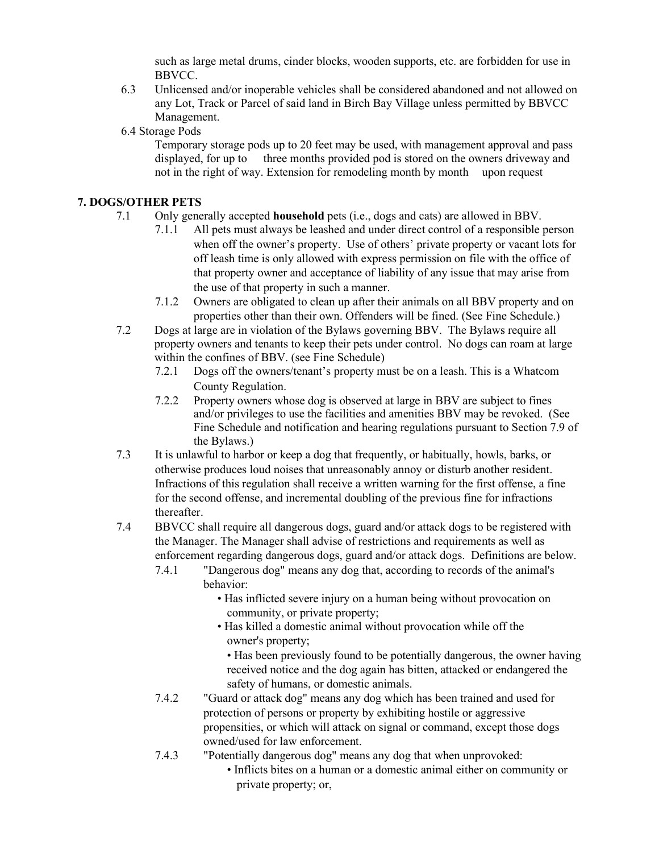such as large metal drums, cinder blocks, wooden supports, etc. are forbidden for use in BBVCC.

- 6.3 Unlicensed and/or inoperable vehicles shall be considered abandoned and not allowed on any Lot, Track or Parcel of said land in Birch Bay Village unless permitted by BBVCC Management.
- 6.4 Storage Pods

Temporary storage pods up to 20 feet may be used, with management approval and pass displayed, for up to three months provided pod is stored on the owners driveway and not in the right of way. Extension for remodeling month by month upon request

## **7. DOGS/OTHER PETS**

- 7.1 Only generally accepted **household** pets (i.e., dogs and cats) are allowed in BBV.
	- 7.1.1 All pets must always be leashed and under direct control of a responsible person when off the owner's property. Use of others' private property or vacant lots for off leash time is only allowed with express permission on file with the office of that property owner and acceptance of liability of any issue that may arise from the use of that property in such a manner.
	- 7.1.2 Owners are obligated to clean up after their animals on all BBV property and on properties other than their own. Offenders will be fined. (See Fine Schedule.)
- 7.2 Dogs at large are in violation of the Bylaws governing BBV. The Bylaws require all property owners and tenants to keep their pets under control. No dogs can roam at large within the confines of BBV. (see Fine Schedule)
	- 7.2.1 Dogs off the owners/tenant's property must be on a leash. This is a Whatcom County Regulation.
	- 7.2.2 Property owners whose dog is observed at large in BBV are subject to fines and/or privileges to use the facilities and amenities BBV may be revoked. (See Fine Schedule and notification and hearing regulations pursuant to Section 7.9 of the Bylaws.)
- 7.3 It is unlawful to harbor or keep a dog that frequently, or habitually, howls, barks, or otherwise produces loud noises that unreasonably annoy or disturb another resident. Infractions of this regulation shall receive a written warning for the first offense, a fine for the second offense, and incremental doubling of the previous fine for infractions thereafter.
- 7.4 BBVCC shall require all dangerous dogs, guard and/or attack dogs to be registered with the Manager. The Manager shall advise of restrictions and requirements as well as enforcement regarding dangerous dogs, guard and/or attack dogs. Definitions are below.
	- 7.4.1 "Dangerous dog" means any dog that, according to records of the animal's behavior:
		- Has inflicted severe injury on a human being without provocation on community, or private property;
		- Has killed a domestic animal without provocation while off the owner's property;
			- Has been previously found to be potentially dangerous, the owner having received notice and the dog again has bitten, attacked or endangered the safety of humans, or domestic animals.
	- 7.4.2 "Guard or attack dog" means any dog which has been trained and used for protection of persons or property by exhibiting hostile or aggressive propensities, or which will attack on signal or command, except those dogs owned/used for law enforcement.
	- 7.4.3 "Potentially dangerous dog" means any dog that when unprovoked:
		- Inflicts bites on a human or a domestic animal either on community or private property; or,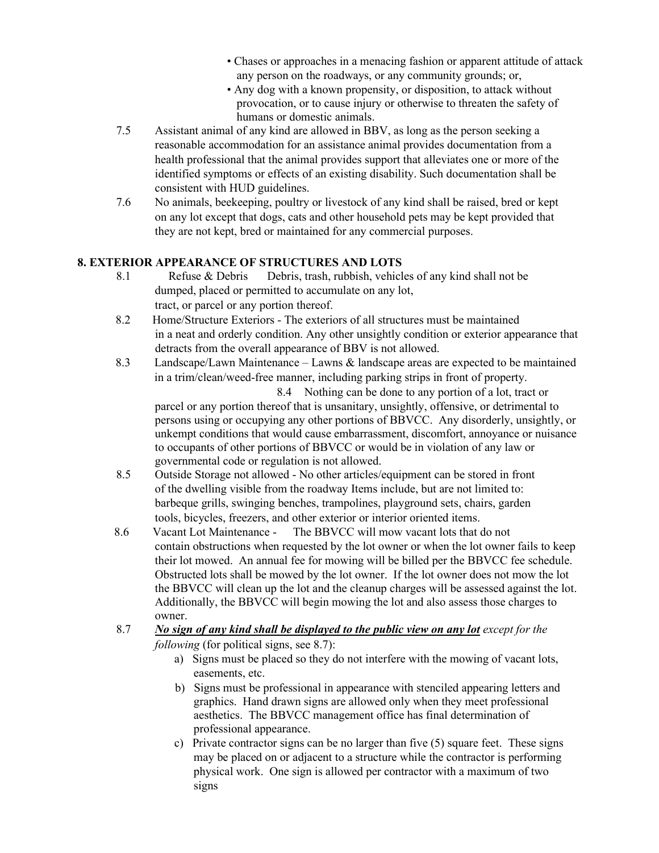- Chases or approaches in a menacing fashion or apparent attitude of attack any person on the roadways, or any community grounds; or,
- Any dog with a known propensity, or disposition, to attack without provocation, or to cause injury or otherwise to threaten the safety of humans or domestic animals.
- 7.5 Assistant animal of any kind are allowed in BBV, as long as the person seeking a reasonable accommodation for an assistance animal provides documentation from a health professional that the animal provides support that alleviates one or more of the identified symptoms or effects of an existing disability. Such documentation shall be consistent with HUD guidelines.
- 7.6 No animals, beekeeping, poultry or livestock of any kind shall be raised, bred or kept on any lot except that dogs, cats and other household pets may be kept provided that they are not kept, bred or maintained for any commercial purposes.

## **8. EXTERIOR APPEARANCE OF STRUCTURES AND LOTS**

- 8.1 Refuse & Debris Debris, trash, rubbish, vehicles of any kind shall not be dumped, placed or permitted to accumulate on any lot, tract, or parcel or any portion thereof.
- 8.2 Home/Structure Exteriors The exteriors of all structures must be maintained in a neat and orderly condition. Any other unsightly condition or exterior appearance that detracts from the overall appearance of BBV is not allowed.
- 8.3 Landscape/Lawn Maintenance Lawns & landscape areas are expected to be maintained in a trim/clean/weed-free manner, including parking strips in front of property.

 8.4 Nothing can be done to any portion of a lot, tract or parcel or any portion thereof that is unsanitary, unsightly, offensive, or detrimental to persons using or occupying any other portions of BBVCC. Any disorderly, unsightly, or unkempt conditions that would cause embarrassment, discomfort, annoyance or nuisance to occupants of other portions of BBVCC or would be in violation of any law or governmental code or regulation is not allowed.

- 8.5 Outside Storage not allowed No other articles/equipment can be stored in front of the dwelling visible from the roadway Items include, but are not limited to: barbeque grills, swinging benches, trampolines, playground sets, chairs, garden tools, bicycles, freezers, and other exterior or interior oriented items.
- 8.6 Vacant Lot Maintenance The BBVCC will mow vacant lots that do not contain obstructions when requested by the lot owner or when the lot owner fails to keep their lot mowed. An annual fee for mowing will be billed per the BBVCC fee schedule. Obstructed lots shall be mowed by the lot owner. If the lot owner does not mow the lot the BBVCC will clean up the lot and the cleanup charges will be assessed against the lot. Additionally, the BBVCC will begin mowing the lot and also assess those charges to owner.
- 8.7 *No sign of any kind shall be displayed to the public view on any lot except for the following* (for political signs, see 8.7):
	- a) Signs must be placed so they do not interfere with the mowing of vacant lots, easements, etc.
	- b) Signs must be professional in appearance with stenciled appearing letters and graphics. Hand drawn signs are allowed only when they meet professional aesthetics. The BBVCC management office has final determination of professional appearance.
	- c) Private contractor signs can be no larger than five (5) square feet. These signs may be placed on or adjacent to a structure while the contractor is performing physical work. One sign is allowed per contractor with a maximum of two signs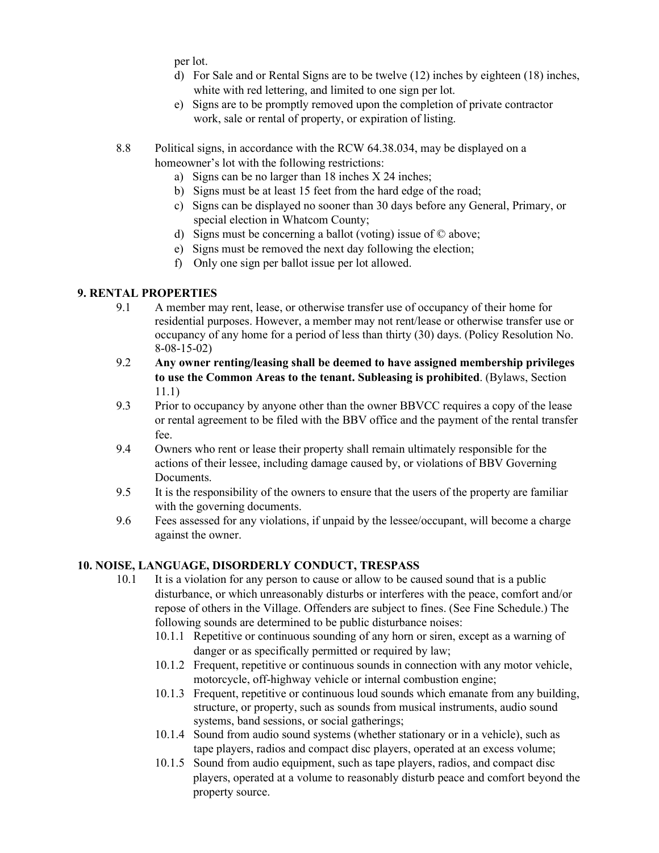per lot.

- d) For Sale and or Rental Signs are to be twelve (12) inches by eighteen (18) inches, white with red lettering, and limited to one sign per lot.
- e) Signs are to be promptly removed upon the completion of private contractor work, sale or rental of property, or expiration of listing.
- 8.8 Political signs, in accordance with the RCW 64.38.034, may be displayed on a homeowner's lot with the following restrictions:
	- a) Signs can be no larger than 18 inches X 24 inches;
	- b) Signs must be at least 15 feet from the hard edge of the road;
	- c) Signs can be displayed no sooner than 30 days before any General, Primary, or special election in Whatcom County;
	- d) Signs must be concerning a ballot (voting) issue of © above;
	- e) Signs must be removed the next day following the election;
	- f) Only one sign per ballot issue per lot allowed.

## **9. RENTAL PROPERTIES**

- 9.1 A member may rent, lease, or otherwise transfer use of occupancy of their home for residential purposes. However, a member may not rent/lease or otherwise transfer use or occupancy of any home for a period of less than thirty (30) days. (Policy Resolution No. 8-08-15-02)
- 9.2 **Any owner renting/leasing shall be deemed to have assigned membership privileges to use the Common Areas to the tenant. Subleasing is prohibited**. (Bylaws, Section 11.1)
- 9.3 Prior to occupancy by anyone other than the owner BBVCC requires a copy of the lease or rental agreement to be filed with the BBV office and the payment of the rental transfer fee.
- 9.4 Owners who rent or lease their property shall remain ultimately responsible for the actions of their lessee, including damage caused by, or violations of BBV Governing Documents.
- 9.5 It is the responsibility of the owners to ensure that the users of the property are familiar with the governing documents.
- 9.6 Fees assessed for any violations, if unpaid by the lessee/occupant, will become a charge against the owner.

## **10. NOISE, LANGUAGE, DISORDERLY CONDUCT, TRESPASS**

- 10.1 It is a violation for any person to cause or allow to be caused sound that is a public disturbance, or which unreasonably disturbs or interferes with the peace, comfort and/or repose of others in the Village. Offenders are subject to fines. (See Fine Schedule.) The following sounds are determined to be public disturbance noises:
	- 10.1.1 Repetitive or continuous sounding of any horn or siren, except as a warning of danger or as specifically permitted or required by law;
	- 10.1.2 Frequent, repetitive or continuous sounds in connection with any motor vehicle, motorcycle, off-highway vehicle or internal combustion engine;
	- 10.1.3 Frequent, repetitive or continuous loud sounds which emanate from any building, structure, or property, such as sounds from musical instruments, audio sound systems, band sessions, or social gatherings;
	- 10.1.4 Sound from audio sound systems (whether stationary or in a vehicle), such as tape players, radios and compact disc players, operated at an excess volume;
	- 10.1.5 Sound from audio equipment, such as tape players, radios, and compact disc players, operated at a volume to reasonably disturb peace and comfort beyond the property source.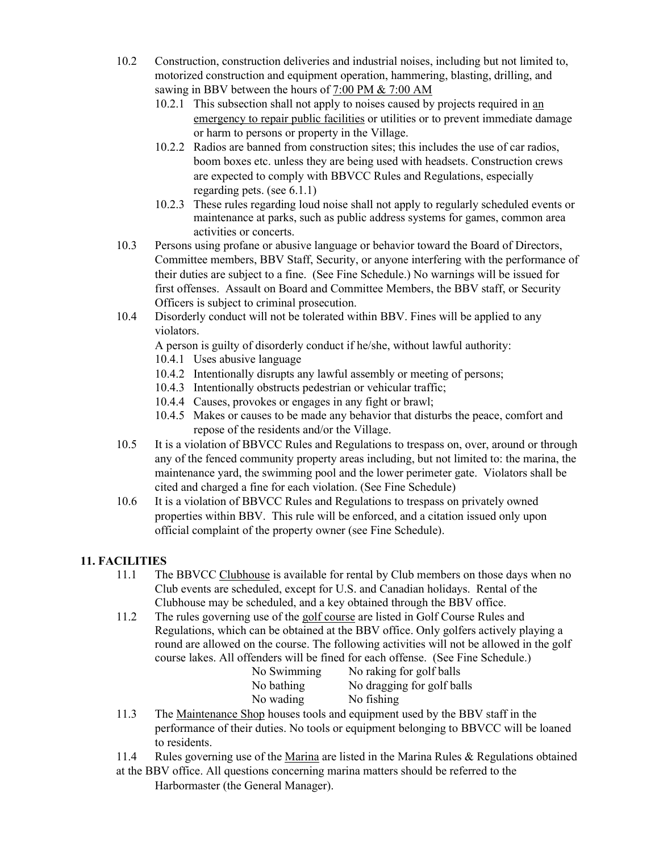- 10.2 Construction, construction deliveries and industrial noises, including but not limited to, motorized construction and equipment operation, hammering, blasting, drilling, and sawing in BBV between the hours of 7:00 PM & 7:00 AM
	- 10.2.1 This subsection shall not apply to noises caused by projects required in an emergency to repair public facilities or utilities or to prevent immediate damage or harm to persons or property in the Village.
	- 10.2.2 Radios are banned from construction sites; this includes the use of car radios, boom boxes etc. unless they are being used with headsets. Construction crews are expected to comply with BBVCC Rules and Regulations, especially regarding pets. (see 6.1.1)
	- 10.2.3 These rules regarding loud noise shall not apply to regularly scheduled events or maintenance at parks, such as public address systems for games, common area activities or concerts.
- 10.3 Persons using profane or abusive language or behavior toward the Board of Directors, Committee members, BBV Staff, Security, or anyone interfering with the performance of their duties are subject to a fine. (See Fine Schedule.) No warnings will be issued for first offenses. Assault on Board and Committee Members, the BBV staff, or Security Officers is subject to criminal prosecution.
- 10.4 Disorderly conduct will not be tolerated within BBV. Fines will be applied to any violators.

A person is guilty of disorderly conduct if he/she, without lawful authority:

- 10.4.1 Uses abusive language
- 10.4.2 Intentionally disrupts any lawful assembly or meeting of persons;
- 10.4.3 Intentionally obstructs pedestrian or vehicular traffic;
- 10.4.4 Causes, provokes or engages in any fight or brawl;
- 10.4.5 Makes or causes to be made any behavior that disturbs the peace, comfort and repose of the residents and/or the Village.
- 10.5 It is a violation of BBVCC Rules and Regulations to trespass on, over, around or through any of the fenced community property areas including, but not limited to: the marina, the maintenance yard, the swimming pool and the lower perimeter gate. Violators shall be cited and charged a fine for each violation. (See Fine Schedule)
- 10.6 It is a violation of BBVCC Rules and Regulations to trespass on privately owned properties within BBV. This rule will be enforced, and a citation issued only upon official complaint of the property owner (see Fine Schedule).

# **11. FACILITIES**

- 11.1 The BBVCC Clubhouse is available for rental by Club members on those days when no Club events are scheduled, except for U.S. and Canadian holidays. Rental of the Clubhouse may be scheduled, and a key obtained through the BBV office.
- 11.2 The rules governing use of the golf course are listed in Golf Course Rules and Regulations, which can be obtained at the BBV office. Only golfers actively playing a round are allowed on the course. The following activities will not be allowed in the golf course lakes. All offenders will be fined for each offense. (See Fine Schedule.)

| No Swimming | No raking for golf balls   |
|-------------|----------------------------|
| No bathing  | No dragging for golf balls |
| No wading   | No fishing                 |
|             |                            |

- 11.3 The Maintenance Shop houses tools and equipment used by the BBV staff in the performance of their duties. No tools or equipment belonging to BBVCC will be loaned to residents.
- 11.4 Rules governing use of the Marina are listed in the Marina Rules & Regulations obtained at the BBV office. All questions concerning marina matters should be referred to the Harbormaster (the General Manager).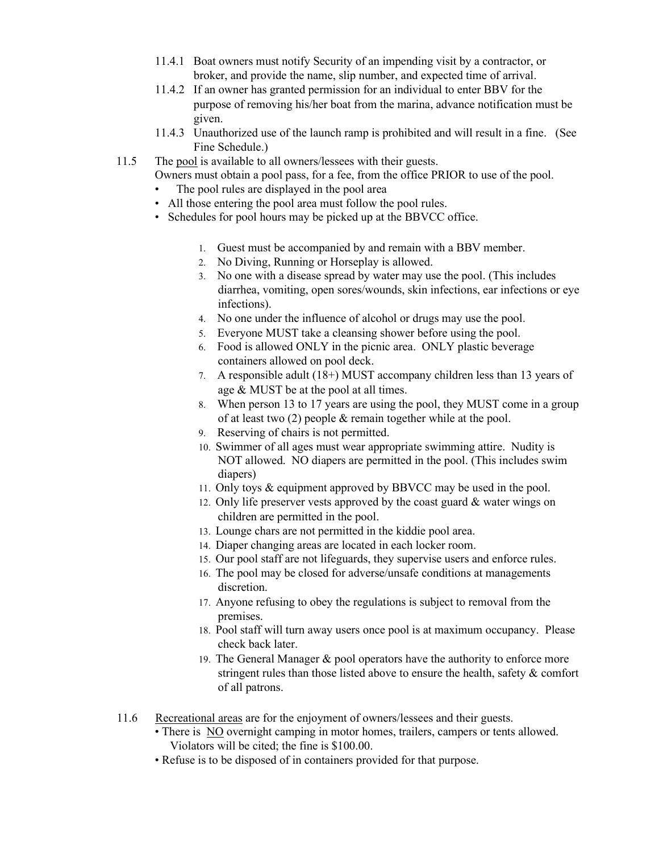- 11.4.1 Boat owners must notify Security of an impending visit by a contractor, or broker, and provide the name, slip number, and expected time of arrival.
- 11.4.2 If an owner has granted permission for an individual to enter BBV for the purpose of removing his/her boat from the marina, advance notification must be given.
- 11.4.3 Unauthorized use of the launch ramp is prohibited and will result in a fine. (See Fine Schedule.)
- 11.5 The pool is available to all owners/lessees with their guests.
	- Owners must obtain a pool pass, for a fee, from the office PRIOR to use of the pool.
		- The pool rules are displayed in the pool area
		- All those entering the pool area must follow the pool rules.
		- Schedules for pool hours may be picked up at the BBVCC office.
			- 1. Guest must be accompanied by and remain with a BBV member.
			- 2. No Diving, Running or Horseplay is allowed.
			- 3. No one with a disease spread by water may use the pool. (This includes diarrhea, vomiting, open sores/wounds, skin infections, ear infections or eye infections).
			- 4. No one under the influence of alcohol or drugs may use the pool.
			- 5. Everyone MUST take a cleansing shower before using the pool.
			- 6. Food is allowed ONLY in the picnic area. ONLY plastic beverage containers allowed on pool deck.
			- 7. A responsible adult (18+) MUST accompany children less than 13 years of age & MUST be at the pool at all times.
			- 8. When person 13 to 17 years are using the pool, they MUST come in a group of at least two (2) people & remain together while at the pool.
			- 9. Reserving of chairs is not permitted.
			- 10. Swimmer of all ages must wear appropriate swimming attire. Nudity is NOT allowed. NO diapers are permitted in the pool. (This includes swim diapers)
			- 11. Only toys & equipment approved by BBVCC may be used in the pool.
			- 12. Only life preserver vests approved by the coast guard & water wings on children are permitted in the pool.
			- 13. Lounge chars are not permitted in the kiddie pool area.
			- 14. Diaper changing areas are located in each locker room.
			- 15. Our pool staff are not lifeguards, they supervise users and enforce rules.
			- 16. The pool may be closed for adverse/unsafe conditions at managements discretion.
			- 17. Anyone refusing to obey the regulations is subject to removal from the premises.
			- 18. Pool staff will turn away users once pool is at maximum occupancy. Please check back later.
			- 19. The General Manager  $\&$  pool operators have the authority to enforce more stringent rules than those listed above to ensure the health, safety & comfort of all patrons.
- 11.6 Recreational areas are for the enjoyment of owners/lessees and their guests.
	- There is NO overnight camping in motor homes, trailers, campers or tents allowed. Violators will be cited; the fine is \$100.00.
	- Refuse is to be disposed of in containers provided for that purpose.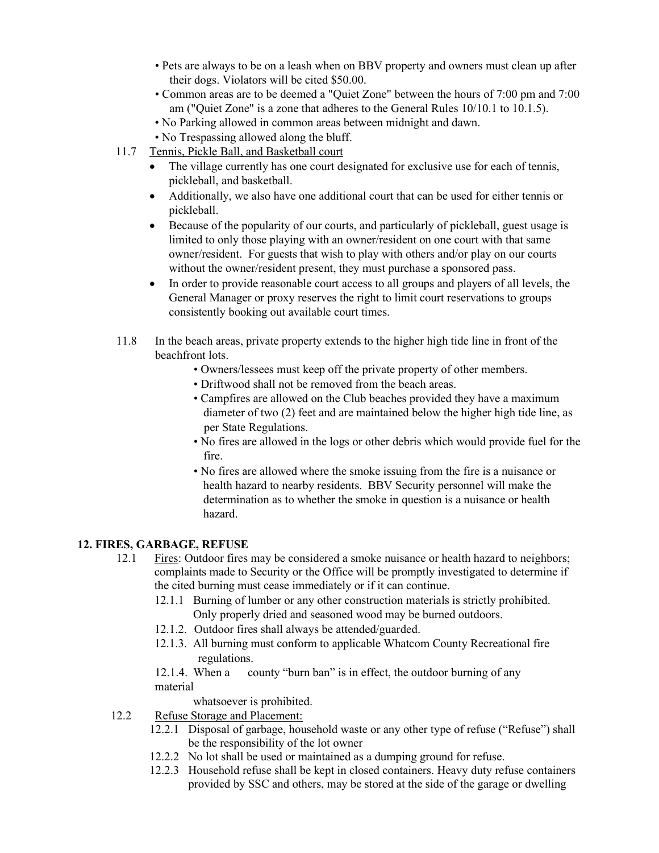- Pets are always to be on a leash when on BBV property and owners must clean up after their dogs. Violators will be cited \$50.00.
- Common areas are to be deemed a "Quiet Zone" between the hours of 7:00 pm and 7:00 am ("Quiet Zone" is a zone that adheres to the General Rules 10/10.1 to 10.1.5).
- No Parking allowed in common areas between midnight and dawn.
- No Trespassing allowed along the bluff.
- 11.7 Tennis, Pickle Ball, and Basketball court
	- The village currently has one court designated for exclusive use for each of tennis, pickleball, and basketball.
	- Additionally, we also have one additional court that can be used for either tennis or pickleball.
	- Because of the popularity of our courts, and particularly of pickleball, guest usage is limited to only those playing with an owner/resident on one court with that same owner/resident. For guests that wish to play with others and/or play on our courts without the owner/resident present, they must purchase a sponsored pass.
	- In order to provide reasonable court access to all groups and players of all levels, the General Manager or proxy reserves the right to limit court reservations to groups consistently booking out available court times.
- 11.8 In the beach areas, private property extends to the higher high tide line in front of the beachfront lots.
	- Owners/lessees must keep off the private property of other members.
	- Driftwood shall not be removed from the beach areas.
	- Campfires are allowed on the Club beaches provided they have a maximum diameter of two (2) feet and are maintained below the higher high tide line, as per State Regulations.
	- No fires are allowed in the logs or other debris which would provide fuel for the fire.
	- No fires are allowed where the smoke issuing from the fire is a nuisance or health hazard to nearby residents. BBV Security personnel will make the determination as to whether the smoke in question is a nuisance or health hazard.

## **12. FIRES, GARBAGE, REFUSE**

- 12.1 Fires: Outdoor fires may be considered a smoke nuisance or health hazard to neighbors; complaints made to Security or the Office will be promptly investigated to determine if the cited burning must cease immediately or if it can continue.
	- 12.1.1 Burning of lumber or any other construction materials is strictly prohibited. Only properly dried and seasoned wood may be burned outdoors.
	- 12.1.2. Outdoor fires shall always be attended/guarded.
	- 12.1.3. All burning must conform to applicable Whatcom County Recreational fire regulations.

12.1.4. When a county "burn ban" is in effect, the outdoor burning of any material

whatsoever is prohibited.

- 12.2 Refuse Storage and Placement:
	- 12.2.1 Disposal of garbage, household waste or any other type of refuse ("Refuse") shall be the responsibility of the lot owner
	- 12.2.2 No lot shall be used or maintained as a dumping ground for refuse.
	- 12.2.3 Household refuse shall be kept in closed containers. Heavy duty refuse containers provided by SSC and others, may be stored at the side of the garage or dwelling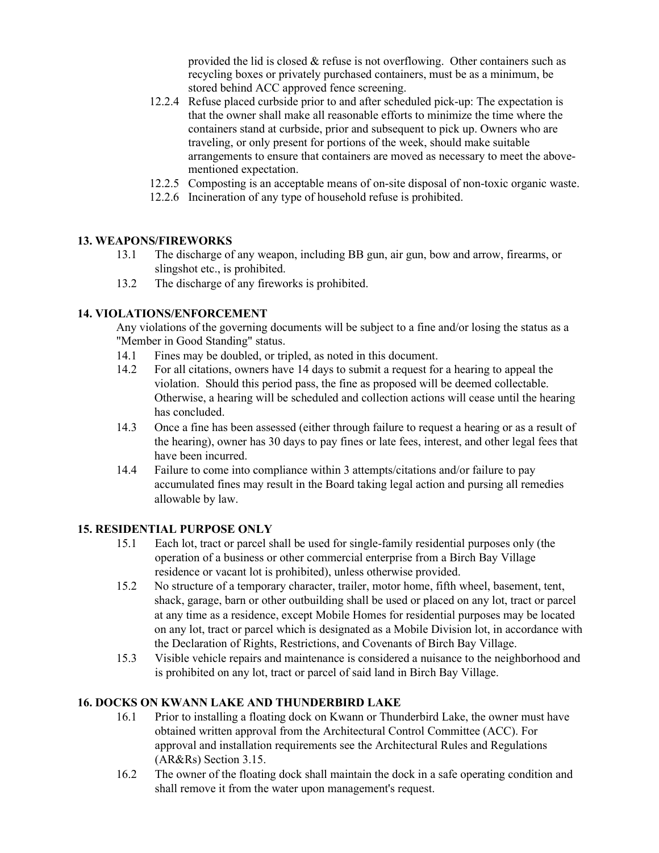provided the lid is closed  $\&$  refuse is not overflowing. Other containers such as recycling boxes or privately purchased containers, must be as a minimum, be stored behind ACC approved fence screening.

- 12.2.4 Refuse placed curbside prior to and after scheduled pick-up: The expectation is that the owner shall make all reasonable efforts to minimize the time where the containers stand at curbside, prior and subsequent to pick up. Owners who are traveling, or only present for portions of the week, should make suitable arrangements to ensure that containers are moved as necessary to meet the abovementioned expectation.
- 12.2.5 Composting is an acceptable means of on-site disposal of non-toxic organic waste.
- 12.2.6 Incineration of any type of household refuse is prohibited.

## **13. WEAPONS/FIREWORKS**

- 13.1 The discharge of any weapon, including BB gun, air gun, bow and arrow, firearms, or slingshot etc., is prohibited.
- 13.2 The discharge of any fireworks is prohibited.

## **14. VIOLATIONS/ENFORCEMENT**

Any violations of the governing documents will be subject to a fine and/or losing the status as a "Member in Good Standing" status.

- 14.1 Fines may be doubled, or tripled, as noted in this document.
- 14.2 For all citations, owners have 14 days to submit a request for a hearing to appeal the violation. Should this period pass, the fine as proposed will be deemed collectable. Otherwise, a hearing will be scheduled and collection actions will cease until the hearing has concluded.
- 14.3 Once a fine has been assessed (either through failure to request a hearing or as a result of the hearing), owner has 30 days to pay fines or late fees, interest, and other legal fees that have been incurred.
- 14.4 Failure to come into compliance within 3 attempts/citations and/or failure to pay accumulated fines may result in the Board taking legal action and pursing all remedies allowable by law.

### **15. RESIDENTIAL PURPOSE ONLY**

- 15.1 Each lot, tract or parcel shall be used for single-family residential purposes only (the operation of a business or other commercial enterprise from a Birch Bay Village residence or vacant lot is prohibited), unless otherwise provided.
- 15.2 No structure of a temporary character, trailer, motor home, fifth wheel, basement, tent, shack, garage, barn or other outbuilding shall be used or placed on any lot, tract or parcel at any time as a residence, except Mobile Homes for residential purposes may be located on any lot, tract or parcel which is designated as a Mobile Division lot, in accordance with the Declaration of Rights, Restrictions, and Covenants of Birch Bay Village.
- 15.3 Visible vehicle repairs and maintenance is considered a nuisance to the neighborhood and is prohibited on any lot, tract or parcel of said land in Birch Bay Village.

## **16. DOCKS ON KWANN LAKE AND THUNDERBIRD LAKE**

- 16.1 Prior to installing a floating dock on Kwann or Thunderbird Lake, the owner must have obtained written approval from the Architectural Control Committee (ACC). For approval and installation requirements see the Architectural Rules and Regulations (AR&Rs) Section 3.15.
- 16.2 The owner of the floating dock shall maintain the dock in a safe operating condition and shall remove it from the water upon management's request.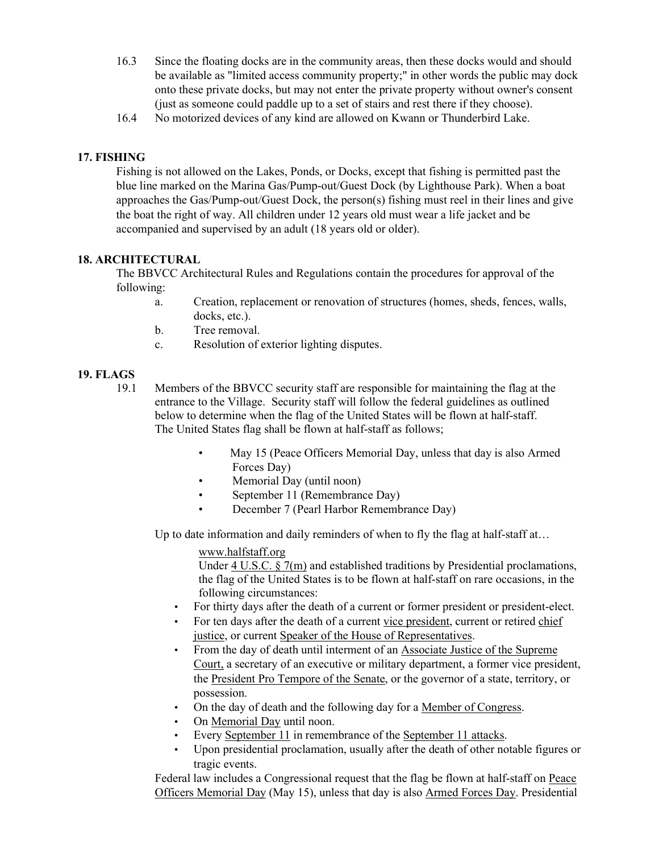- 16.3 Since the floating docks are in the community areas, then these docks would and should be available as "limited access community property;" in other words the public may dock onto these private docks, but may not enter the private property without owner's consent (just as someone could paddle up to a set of stairs and rest there if they choose).
- 16.4 No motorized devices of any kind are allowed on Kwann or Thunderbird Lake.

## **17. FISHING**

Fishing is not allowed on the Lakes, Ponds, or Docks, except that fishing is permitted past the blue line marked on the Marina Gas/Pump-out/Guest Dock (by Lighthouse Park). When a boat approaches the Gas/Pump-out/Guest Dock, the person(s) fishing must reel in their lines and give the boat the right of way. All children under 12 years old must wear a life jacket and be accompanied and supervised by an adult (18 years old or older).

### **18. ARCHITECTURAL**

The BBVCC Architectural Rules and Regulations contain the procedures for approval of the following:

- a. Creation, replacement or renovation of structures (homes, sheds, fences, walls, docks, etc.).
- b. Tree removal.
- c. Resolution of exterior lighting disputes.

### **19. FLAGS**

- 19.1 Members of the BBVCC security staff are responsible for maintaining the flag at the entrance to the Village. Security staff will follow the federal guidelines as outlined below to determine when the flag of the United States will be flown at half-staff. The United States flag shall be flown at half-staff as follows;
	- May 15 (Peace Officers Memorial Day, unless that day is also Armed Forces Day)
	- Memorial Day (until noon)
	- September 11 (Remembrance Day)
	- December 7 (Pearl Harbor Remembrance Day)

Up to date information and daily reminders of when to fly the flag at half-staff at...

### [www.halfstaff.org](http://www.halfstaff.org/)

Under [4 U.S.C.](https://en.wikipedia.org/wiki/Title_4_of_the_United_States_Code) [§ 7\(m\)](https://www.law.cornell.edu/uscode/text/4/7(m)) and established traditions by Presidential proclamations, the flag of the United States is to be flown at half-staff on rare occasions, in the following circumstances:

- For thirty days after the death of a current or former president or president-elect.
- For ten days after the death of a current [vice president, c](https://en.wikipedia.org/wiki/Vice_President_of_the_United_States)urrent or retired [chief](https://en.wikipedia.org/wiki/Chief_Justice_of_the_United_States) [justice,](https://en.wikipedia.org/wiki/Chief_Justice_of_the_United_States) or current [Speaker of the House of Representatives.](https://en.wikipedia.org/wiki/Speaker_of_the_United_States_House_of_Representatives)
- From the day of death until interment of an [Associate Justice of the Supreme](https://en.wikipedia.org/wiki/Associate_Justice_of_the_Supreme_Court) [Court,](https://en.wikipedia.org/wiki/Associate_Justice_of_the_Supreme_Court) a secretary of an executive or military department, a former vice president, the [President Pro Tempore of the Senate,](https://en.wikipedia.org/wiki/President_Pro_Tempore_of_the_United_States_Senate) or the governor of a state, territory, or possession.
- On the day of death and the following day for [a Member of Congress.](https://en.wikipedia.org/wiki/Member_of_Congress)
- On [Memorial Day](https://en.wikipedia.org/wiki/Memorial_Day) until noon.
- Every September 11 in remembrance of the [September 11 attacks.](https://en.wikipedia.org/wiki/September_11_attacks)
- Upon presidential proclamation, usually after the death of other notable figures or tragic events.

Federal law includes a Congressional request that the flag be flown at half-staff on [Peace](https://en.wikipedia.org/wiki/Peace_Officers_Memorial_Day) [Officers Memorial Day](https://en.wikipedia.org/wiki/Peace_Officers_Memorial_Day) (May 15), unless that day is also [Armed Forces Day.](https://en.wikipedia.org/wiki/Armed_Forces_Day) Presidential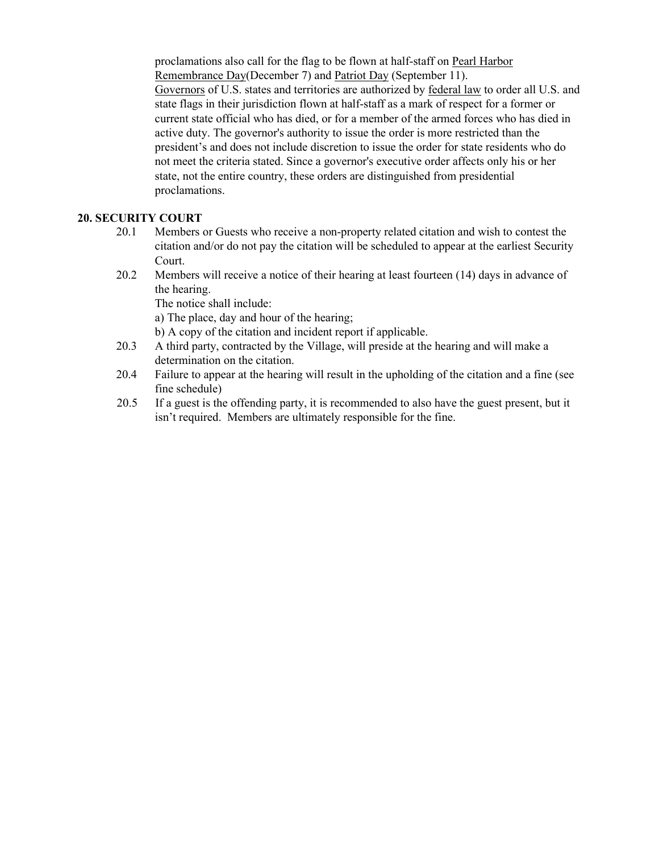proclamations also call for the flag to be flown at half-staff on [Pearl Harbor](https://en.wikipedia.org/wiki/Pearl_Harbor_Remembrance_Day) [Remembrance Day\(](https://en.wikipedia.org/wiki/Pearl_Harbor_Remembrance_Day)December 7) and [Patriot Day](https://en.wikipedia.org/wiki/Patriot_Day) (September 11). [Governors](https://en.wikipedia.org/wiki/Governor#United_States) of U.S. states and territories are authorized by [federal law](https://en.wikipedia.org/wiki/United_States_Code) to order all U.S. and state flags in their jurisdiction flown at half-staff as a mark of respect for a former or current state official who has died, or for a member of the armed forces who has died in active duty. The governor's authority to issue the order is more restricted than the president's and does not include discretion to issue the order for state residents who do not meet the criteria stated. Since a governor's executive order affects only his or her state, not the entire country, these orders are distinguished from presidential proclamations.

### **20. SECURITY COURT**

- 20.1 Members or Guests who receive a non-property related citation and wish to contest the citation and/or do not pay the citation will be scheduled to appear at the earliest Security Court.
- 20.2 Members will receive a notice of their hearing at least fourteen (14) days in advance of the hearing.

The notice shall include:

a) The place, day and hour of the hearing;

b) A copy of the citation and incident report if applicable.

- 20.3 A third party, contracted by the Village, will preside at the hearing and will make a determination on the citation.
- 20.4 Failure to appear at the hearing will result in the upholding of the citation and a fine (see fine schedule)
- 20.5 If a guest is the offending party, it is recommended to also have the guest present, but it isn't required. Members are ultimately responsible for the fine.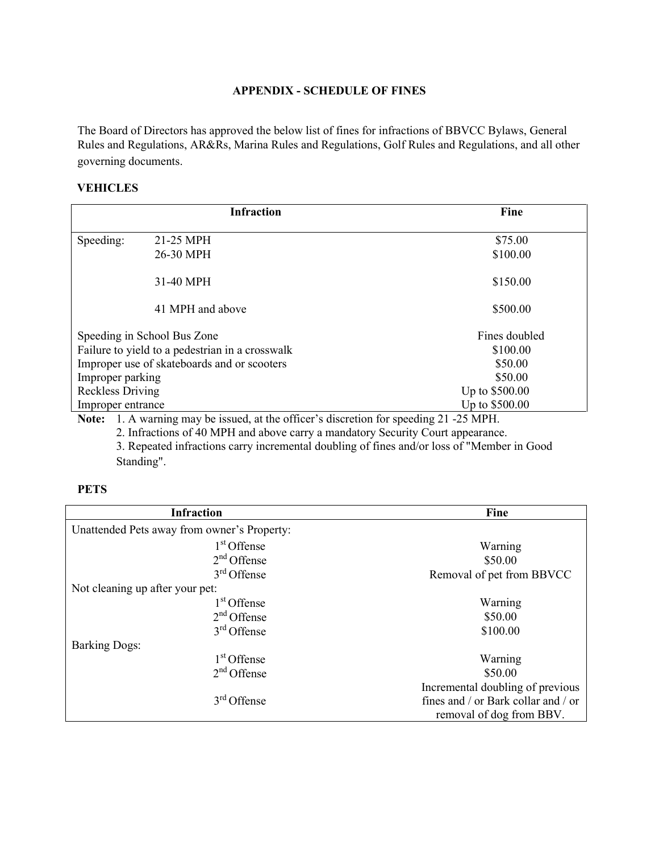## **APPENDIX - SCHEDULE OF FINES**

The Board of Directors has approved the below list of fines for infractions of BBVCC Bylaws, General Rules and Regulations, AR&Rs, Marina Rules and Regulations, Golf Rules and Regulations, and all other governing documents.

#### **VEHICLES**

|                                                 | <b>Infraction</b> | Fine           |
|-------------------------------------------------|-------------------|----------------|
|                                                 |                   |                |
| Speeding:                                       | 21-25 MPH         | \$75.00        |
|                                                 | 26-30 MPH         | \$100.00       |
|                                                 | 31-40 MPH         | \$150.00       |
|                                                 | 41 MPH and above  | \$500.00       |
| Speeding in School Bus Zone                     |                   | Fines doubled  |
| Failure to yield to a pedestrian in a crosswalk |                   | \$100.00       |
| Improper use of skateboards and or scooters     |                   | \$50.00        |
| Improper parking                                |                   | \$50.00        |
| Reckless Driving                                |                   | Up to \$500.00 |
| Improper entrance                               |                   | Up to \$500.00 |

**Note:** 1. A warning may be issued, at the officer's discretion for speeding 21 -25 MPH.

2. Infractions of 40 MPH and above carry a mandatory Security Court appearance.

3. Repeated infractions carry incremental doubling of fines and/or loss of "Member in Good Standing".

#### **PETS**

| <b>Infraction</b>                           | Fine                                |
|---------------------------------------------|-------------------------------------|
| Unattended Pets away from owner's Property: |                                     |
| $1st$ Offense                               | Warning                             |
| $2nd$ Offense                               | \$50.00                             |
| $3rd$ Offense                               | Removal of pet from BBVCC           |
| Not cleaning up after your pet:             |                                     |
| 1 <sup>st</sup> Offense                     | Warning                             |
| $2nd$ Offense                               | \$50.00                             |
| $3rd$ Offense                               | \$100.00                            |
| <b>Barking Dogs:</b>                        |                                     |
| $1st$ Offense                               | Warning                             |
| $2nd$ Offense                               | \$50.00                             |
|                                             | Incremental doubling of previous    |
| $3rd$ Offense                               | fines and / or Bark collar and / or |
|                                             | removal of dog from BBV.            |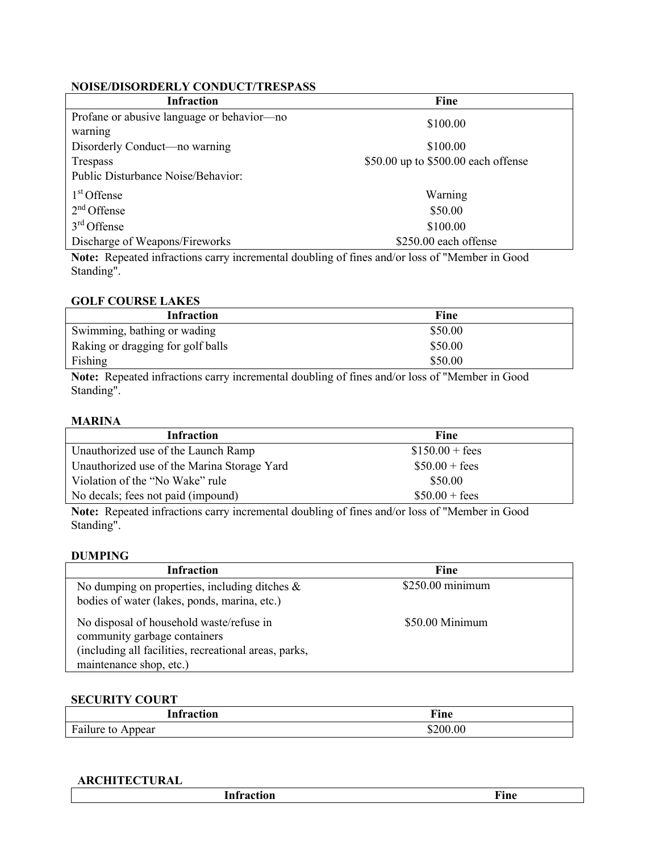## **NOISE/DISORDERLY CONDUCT/TRESPASS**

| Fine                                |
|-------------------------------------|
| \$100.00                            |
|                                     |
| \$100.00                            |
| \$50.00 up to \$500.00 each offense |
|                                     |
| Warning                             |
| \$50.00                             |
| \$100.00                            |
| \$250.00 each offense               |
|                                     |

**Note:** Repeated infractions carry incremental doubling of fines and/or loss of "Member in Good Standing".

## **GOLF COURSE LAKES**

| Infraction                        | Fine    |  |
|-----------------------------------|---------|--|
| Swimming, bathing or wading       | \$50.00 |  |
| Raking or dragging for golf balls | \$50.00 |  |
| Fishing                           | \$50.00 |  |

**Note:** Repeated infractions carry incremental doubling of fines and/or loss of "Member in Good Standing".

## **MARINA**

| <b>Infraction</b>                                                                                           | Fine             |  |
|-------------------------------------------------------------------------------------------------------------|------------------|--|
| Unauthorized use of the Launch Ramp                                                                         | $$150.00 + fees$ |  |
| Unauthorized use of the Marina Storage Yard                                                                 | $$50.00 + fees$  |  |
| Violation of the "No Wake" rule                                                                             | \$50.00          |  |
| No decals; fees not paid (impound)                                                                          | $$50.00 + fees$  |  |
| Mater Democrated informations against incomputed developed of fines and lead and the of the families in $C$ |                  |  |

**Note:** Repeated infractions carry incremental doubling of fines and/or loss of "Member in Good Standing".

#### **DUMPING**

| <b>Infraction</b>                                                                                                                                            | Fine             |
|--------------------------------------------------------------------------------------------------------------------------------------------------------------|------------------|
| No dumping on properties, including ditches $\&$<br>bodies of water (lakes, ponds, marina, etc.)                                                             | \$250.00 minimum |
| No disposal of household waste/refuse in<br>community garbage containers<br>(including all facilities, recreational areas, parks,<br>maintenance shop, etc.) | \$50.00 Minimum  |

## **SECURITY COURT**

| ıon                                                                | T.     |
|--------------------------------------------------------------------|--------|
| l ntua atı                                                         | Fıne   |
|                                                                    | ______ |
| $\mathbf{r}$<br>$\ddot{\phantom{0}}$<br>ppear<br>lure<br>Fa.<br>to | 200.00 |

#### **ARCHITECTURAL**

|--|